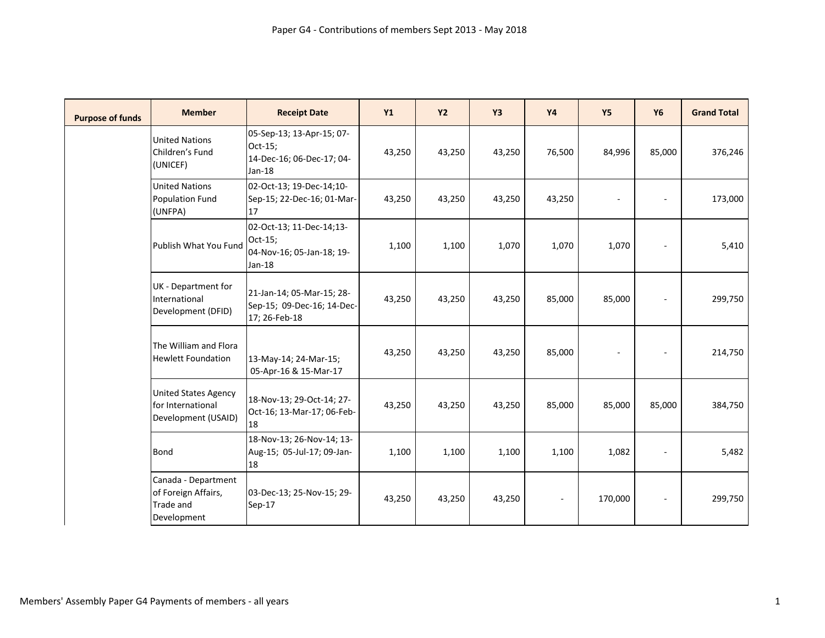| <b>Purpose of funds</b> | <b>Member</b>                                                           | <b>Receipt Date</b>                                                           | Y1     | <b>Y2</b> | Y <sub>3</sub> | <b>Y4</b>                | <b>Y5</b>      | <b>Y6</b>                | <b>Grand Total</b> |
|-------------------------|-------------------------------------------------------------------------|-------------------------------------------------------------------------------|--------|-----------|----------------|--------------------------|----------------|--------------------------|--------------------|
|                         | <b>United Nations</b><br>Children's Fund<br>(UNICEF)                    | 05-Sep-13; 13-Apr-15; 07-<br>Oct-15;<br>14-Dec-16; 06-Dec-17; 04-<br>$Jan-18$ | 43,250 | 43,250    | 43,250         | 76,500                   | 84,996         | 85,000                   | 376,246            |
|                         | <b>United Nations</b><br><b>Population Fund</b><br>(UNFPA)              | 02-Oct-13; 19-Dec-14;10-<br>Sep-15; 22-Dec-16; 01-Mar-<br>17                  | 43,250 | 43,250    | 43,250         | 43,250                   | $\bar{a}$      | $\overline{\phantom{a}}$ | 173,000            |
|                         | Publish What You Fund                                                   | 02-Oct-13; 11-Dec-14;13-<br>Oct-15;<br>04-Nov-16; 05-Jan-18; 19-<br>$Jan-18$  | 1,100  | 1,100     | 1,070          | 1,070                    | 1,070          | $\overline{\phantom{a}}$ | 5,410              |
|                         | UK - Department for<br>International<br>Development (DFID)              | 21-Jan-14; 05-Mar-15; 28-<br>Sep-15; 09-Dec-16; 14-Dec-<br>17; 26-Feb-18      | 43,250 | 43,250    | 43,250         | 85,000                   | 85,000         | $\sim$                   | 299,750            |
|                         | The William and Flora<br><b>Hewlett Foundation</b>                      | 13-May-14; 24-Mar-15;<br>05-Apr-16 & 15-Mar-17                                | 43,250 | 43,250    | 43,250         | 85,000                   | $\blacksquare$ | $\overline{\phantom{a}}$ | 214,750            |
|                         | <b>United States Agency</b><br>for International<br>Development (USAID) | 18-Nov-13; 29-Oct-14; 27-<br>Oct-16; 13-Mar-17; 06-Feb-<br>18                 | 43,250 | 43,250    | 43,250         | 85,000                   | 85,000         | 85,000                   | 384,750            |
|                         | <b>Bond</b>                                                             | 18-Nov-13; 26-Nov-14; 13-<br>Aug-15; 05-Jul-17; 09-Jan-<br>18                 | 1,100  | 1,100     | 1,100          | 1,100                    | 1,082          | $\sim$                   | 5,482              |
|                         | Canada - Department<br>of Foreign Affairs,<br>Trade and<br>Development  | 03-Dec-13; 25-Nov-15; 29-<br>$Sep-17$                                         | 43,250 | 43,250    | 43,250         | $\overline{\phantom{a}}$ | 170,000        | $\blacksquare$           | 299,750            |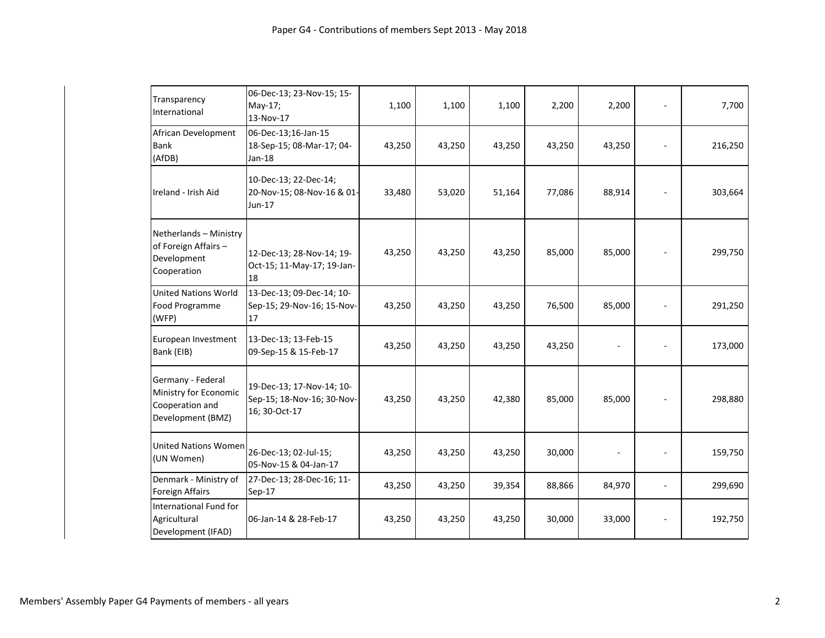| Transparency<br>International                                                      | 06-Dec-13; 23-Nov-15; 15-<br>May-17;<br>13-Nov-17                        | 1,100  | 1,100  | 1,100  | 2,200  | 2,200  | ä,             | 7,700   |
|------------------------------------------------------------------------------------|--------------------------------------------------------------------------|--------|--------|--------|--------|--------|----------------|---------|
| African Development<br><b>Bank</b><br>(AfDB)                                       | 06-Dec-13;16-Jan-15<br>18-Sep-15; 08-Mar-17; 04-<br>Jan-18               | 43,250 | 43,250 | 43,250 | 43,250 | 43,250 |                | 216,250 |
| Ireland - Irish Aid                                                                | 10-Dec-13; 22-Dec-14;<br>20-Nov-15; 08-Nov-16 & 01-<br>Jun-17            | 33,480 | 53,020 | 51,164 | 77,086 | 88,914 |                | 303,664 |
| Netherlands - Ministry<br>of Foreign Affairs -<br>Development<br>Cooperation       | 12-Dec-13; 28-Nov-14; 19-<br>Oct-15; 11-May-17; 19-Jan-<br>18            | 43,250 | 43,250 | 43,250 | 85,000 | 85,000 |                | 299,750 |
| <b>United Nations World</b><br>Food Programme<br>(WFP)                             | 13-Dec-13; 09-Dec-14; 10-<br>Sep-15; 29-Nov-16; 15-Nov-<br>17            | 43,250 | 43,250 | 43,250 | 76,500 | 85,000 |                | 291,250 |
| European Investment<br>Bank (EIB)                                                  | 13-Dec-13; 13-Feb-15<br>09-Sep-15 & 15-Feb-17                            | 43,250 | 43,250 | 43,250 | 43,250 |        |                | 173,000 |
| Germany - Federal<br>Ministry for Economic<br>Cooperation and<br>Development (BMZ) | 19-Dec-13; 17-Nov-14; 10-<br>Sep-15; 18-Nov-16; 30-Nov-<br>16; 30-Oct-17 | 43,250 | 43,250 | 42,380 | 85,000 | 85,000 |                | 298,880 |
| <b>United Nations Women</b><br>(UN Women)                                          | 26-Dec-13; 02-Jul-15;<br>05-Nov-15 & 04-Jan-17                           | 43,250 | 43,250 | 43,250 | 30,000 |        |                | 159,750 |
| Denmark - Ministry of<br>Foreign Affairs                                           | 27-Dec-13; 28-Dec-16; 11-<br>$Sep-17$                                    | 43,250 | 43,250 | 39,354 | 88,866 | 84,970 | $\overline{a}$ | 299,690 |
| International Fund for<br>Agricultural<br>Development (IFAD)                       | 06-Jan-14 & 28-Feb-17                                                    | 43,250 | 43,250 | 43,250 | 30,000 | 33,000 |                | 192,750 |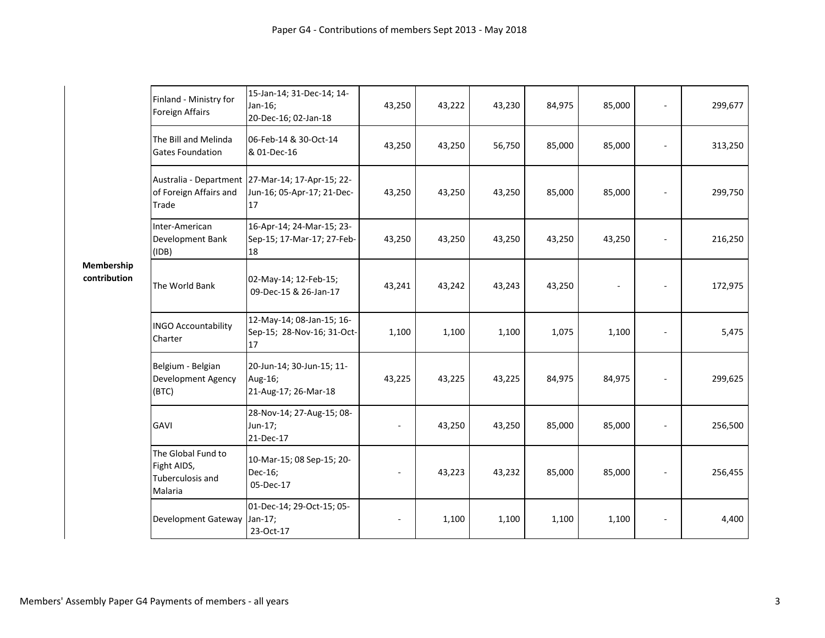|                            |                                                                  | 15-Jan-14; 31-Dec-14; 14-                                                            |        |        |        |        |        |        |         |
|----------------------------|------------------------------------------------------------------|--------------------------------------------------------------------------------------|--------|--------|--------|--------|--------|--------|---------|
| Membership<br>contribution | Finland - Ministry for<br><b>Foreign Affairs</b>                 | Jan-16;<br>20-Dec-16; 02-Jan-18                                                      | 43,250 | 43,222 | 43,230 | 84,975 | 85,000 |        | 299,677 |
|                            | The Bill and Melinda<br><b>Gates Foundation</b>                  | 06-Feb-14 & 30-Oct-14<br>& 01-Dec-16                                                 | 43,250 | 43,250 | 56,750 | 85,000 | 85,000 |        | 313,250 |
|                            | of Foreign Affairs and<br>Trade                                  | Australia - Department 27-Mar-14; 17-Apr-15; 22-<br>Jun-16; 05-Apr-17; 21-Dec-<br>17 | 43,250 | 43,250 | 43,250 | 85,000 | 85,000 |        | 299,750 |
|                            | Inter-American<br>Development Bank<br>(IDB)                      | 16-Apr-14; 24-Mar-15; 23-<br>Sep-15; 17-Mar-17; 27-Feb-<br>18                        | 43,250 | 43,250 | 43,250 | 43,250 | 43,250 |        | 216,250 |
|                            | The World Bank                                                   | 02-May-14; 12-Feb-15;<br>09-Dec-15 & 26-Jan-17                                       | 43,241 | 43,242 | 43,243 | 43,250 | ÷,     |        | 172,975 |
|                            | <b>INGO Accountability</b><br>Charter                            | 12-May-14; 08-Jan-15; 16-<br>Sep-15; 28-Nov-16; 31-Oct-<br>17                        | 1,100  | 1,100  | 1,100  | 1,075  | 1,100  |        | 5,475   |
|                            | Belgium - Belgian<br><b>Development Agency</b><br>(BTC)          | 20-Jun-14; 30-Jun-15; 11-<br>Aug-16;<br>21-Aug-17; 26-Mar-18                         | 43,225 | 43,225 | 43,225 | 84,975 | 84,975 | $\sim$ | 299,625 |
|                            | <b>GAVI</b>                                                      | 28-Nov-14; 27-Aug-15; 08-<br>Jun-17;<br>21-Dec-17                                    |        | 43,250 | 43,250 | 85,000 | 85,000 |        | 256,500 |
|                            | The Global Fund to<br>Fight AIDS,<br>Tuberculosis and<br>Malaria | 10-Mar-15; 08 Sep-15; 20-<br>Dec-16;<br>05-Dec-17                                    |        | 43,223 | 43,232 | 85,000 | 85,000 |        | 256,455 |
|                            | <b>Development Gateway</b>                                       | 01-Dec-14; 29-Oct-15; 05-<br>Jan-17;<br>23-Oct-17                                    |        | 1,100  | 1,100  | 1,100  | 1,100  |        | 4,400   |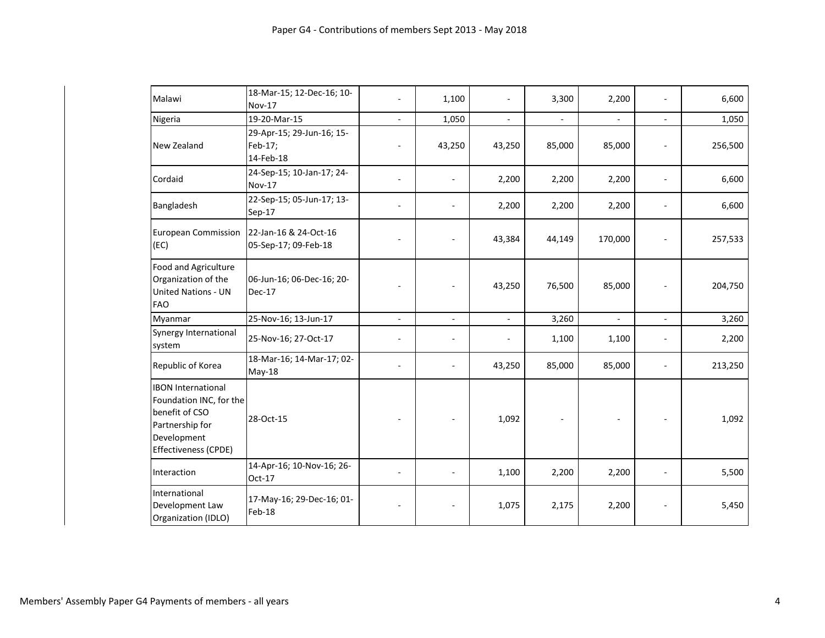| Malawi                                                                                                                           | 18-Mar-15; 12-Dec-16; 10-<br><b>Nov-17</b>        |                          | 1,100                    |                | 3,300                    | 2,200          |                | 6,600   |
|----------------------------------------------------------------------------------------------------------------------------------|---------------------------------------------------|--------------------------|--------------------------|----------------|--------------------------|----------------|----------------|---------|
| Nigeria                                                                                                                          | 19-20-Mar-15                                      |                          | 1,050                    | $\blacksquare$ | $\overline{\phantom{a}}$ | $\overline{a}$ | $\blacksquare$ | 1,050   |
| New Zealand                                                                                                                      | 29-Apr-15; 29-Jun-16; 15-<br>Feb-17;<br>14-Feb-18 |                          | 43,250                   | 43,250         | 85,000                   | 85,000         |                | 256,500 |
| Cordaid                                                                                                                          | 24-Sep-15; 10-Jan-17; 24-<br><b>Nov-17</b>        |                          | $\overline{\phantom{a}}$ | 2,200          | 2,200                    | 2,200          | $\sim$         | 6,600   |
| Bangladesh                                                                                                                       | 22-Sep-15; 05-Jun-17; 13-<br>Sep-17               |                          |                          | 2,200          | 2,200                    | 2,200          | $\sim$         | 6,600   |
| <b>European Commission</b><br>(EC)                                                                                               | 22-Jan-16 & 24-Oct-16<br>05-Sep-17; 09-Feb-18     |                          |                          | 43,384         | 44,149                   | 170,000        |                | 257,533 |
| Food and Agriculture<br>Organization of the<br><b>United Nations - UN</b><br><b>FAO</b>                                          | 06-Jun-16; 06-Dec-16; 20-<br><b>Dec-17</b>        |                          |                          | 43,250         | 76,500                   | 85,000         |                | 204,750 |
| Myanmar                                                                                                                          | 25-Nov-16; 13-Jun-17                              | $\overline{\phantom{a}}$ | ÷.                       | $\mathbf{r}$   | 3,260                    | $\overline{a}$ | $\blacksquare$ | 3,260   |
| Synergy International<br>system                                                                                                  | 25-Nov-16; 27-Oct-17                              |                          | $\overline{\phantom{a}}$ |                | 1,100                    | 1,100          | $\sim$         | 2,200   |
| Republic of Korea                                                                                                                | 18-Mar-16; 14-Mar-17; 02-<br>May-18               |                          | $\blacksquare$           | 43,250         | 85,000                   | 85,000         |                | 213,250 |
| <b>IBON International</b><br>Foundation INC, for the<br>benefit of CSO<br>Partnership for<br>Development<br>Effectiveness (CPDE) | 28-Oct-15                                         |                          |                          | 1,092          |                          |                |                | 1,092   |
| Interaction                                                                                                                      | 14-Apr-16; 10-Nov-16; 26-<br>Oct-17               |                          |                          | 1,100          | 2,200                    | 2,200          | $\sim$         | 5,500   |
| International<br>Development Law<br>Organization (IDLO)                                                                          | 17-May-16; 29-Dec-16; 01-<br>Feb-18               |                          |                          | 1,075          | 2,175                    | 2,200          |                | 5,450   |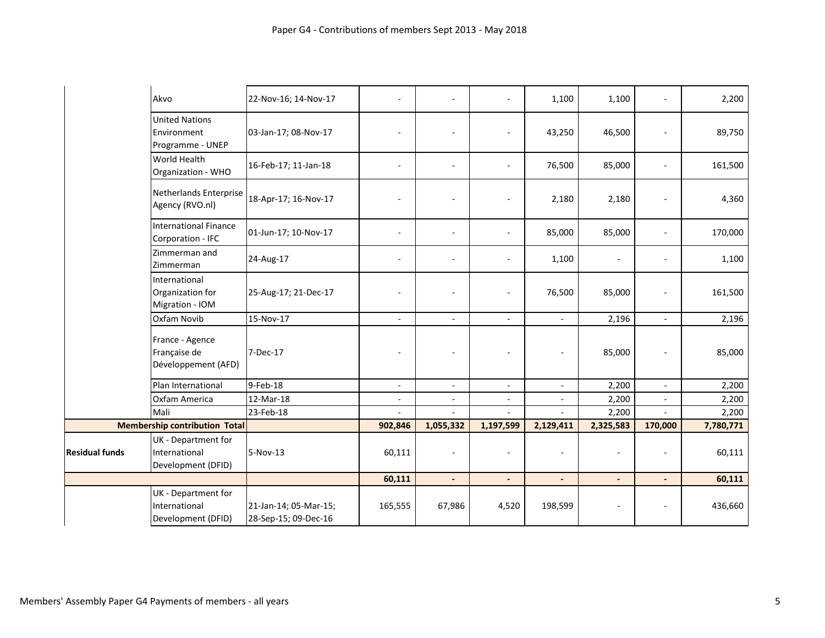|                       | Akvo                                                       | 22-Nov-16; 14-Nov-17                          | $\overline{\phantom{a}}$ |                          |                          | 1,100                    | 1,100     |                          | 2,200     |
|-----------------------|------------------------------------------------------------|-----------------------------------------------|--------------------------|--------------------------|--------------------------|--------------------------|-----------|--------------------------|-----------|
|                       | <b>United Nations</b><br>Environment<br>Programme - UNEP   | 03-Jan-17; 08-Nov-17                          |                          | ÷,                       | $\overline{a}$           | 43,250                   | 46,500    |                          | 89,750    |
|                       | World Health<br>Organization - WHO                         | 16-Feb-17; 11-Jan-18                          | $\sim$                   | $\overline{\phantom{a}}$ | $\overline{\phantom{a}}$ | 76,500                   | 85,000    | $\blacksquare$           | 161,500   |
|                       | Netherlands Enterprise<br>Agency (RVO.nl)                  | 18-Apr-17; 16-Nov-17                          | $\sim$                   | $\sim$                   | ÷                        | 2,180                    | 2,180     |                          | 4,360     |
|                       | <b>International Finance</b><br>Corporation - IFC          | 01-Jun-17; 10-Nov-17                          | $\sim$                   | ä,                       | $\overline{\phantom{a}}$ | 85,000                   | 85,000    | $\sim$                   | 170,000   |
|                       | Zimmerman and<br>Zimmerman                                 | 24-Aug-17                                     | $\sim$                   | ä,                       | $\overline{a}$           | 1,100                    | ÷         |                          | 1,100     |
|                       | International<br>Organization for<br>Migration - IOM       | 25-Aug-17; 21-Dec-17                          | $\sim$                   | $\blacksquare$           | $\overline{\phantom{a}}$ | 76,500                   | 85,000    |                          | 161,500   |
|                       | Oxfam Novib                                                | 15-Nov-17                                     | $\sim$                   | $\sim$                   | $\overline{\phantom{a}}$ | $\sim$                   | 2,196     | $\sim$                   | 2,196     |
|                       | France - Agence<br>Française de<br>Développement (AFD)     | 7-Dec-17                                      | $\blacksquare$           | $\blacksquare$           | $\overline{\phantom{a}}$ | $\sim$                   | 85,000    |                          | 85,000    |
|                       | Plan International                                         | 9-Feb-18                                      | $\sim$                   | $\overline{\phantom{a}}$ | $\overline{\phantom{a}}$ | $\overline{a}$           | 2,200     |                          | 2,200     |
|                       | Oxfam America                                              | 12-Mar-18                                     | $\sim$                   | $\overline{\phantom{a}}$ | $\overline{\phantom{a}}$ | $\overline{\phantom{a}}$ | 2,200     |                          | 2,200     |
|                       | Mali                                                       | 23-Feb-18                                     |                          |                          |                          |                          | 2,200     |                          | 2,200     |
|                       | <b>Membership contribution Total</b>                       |                                               | 902,846                  | 1,055,332                | 1,197,599                | 2,129,411                | 2,325,583 | 170,000                  | 7,780,771 |
| <b>Residual funds</b> | UK - Department for<br>International<br>Development (DFID) | 5-Nov-13                                      | 60,111                   | ÷,                       | $\overline{\phantom{a}}$ |                          | ÷         | $\overline{\phantom{a}}$ | 60,111    |
|                       |                                                            |                                               | 60,111                   | $\overline{a}$           | $\overline{a}$           |                          | L,        |                          | 60,111    |
|                       | UK - Department for<br>International<br>Development (DFID) | 21-Jan-14; 05-Mar-15;<br>28-Sep-15; 09-Dec-16 | 165,555                  | 67,986                   | 4,520                    | 198,599                  | ÷         |                          | 436,660   |